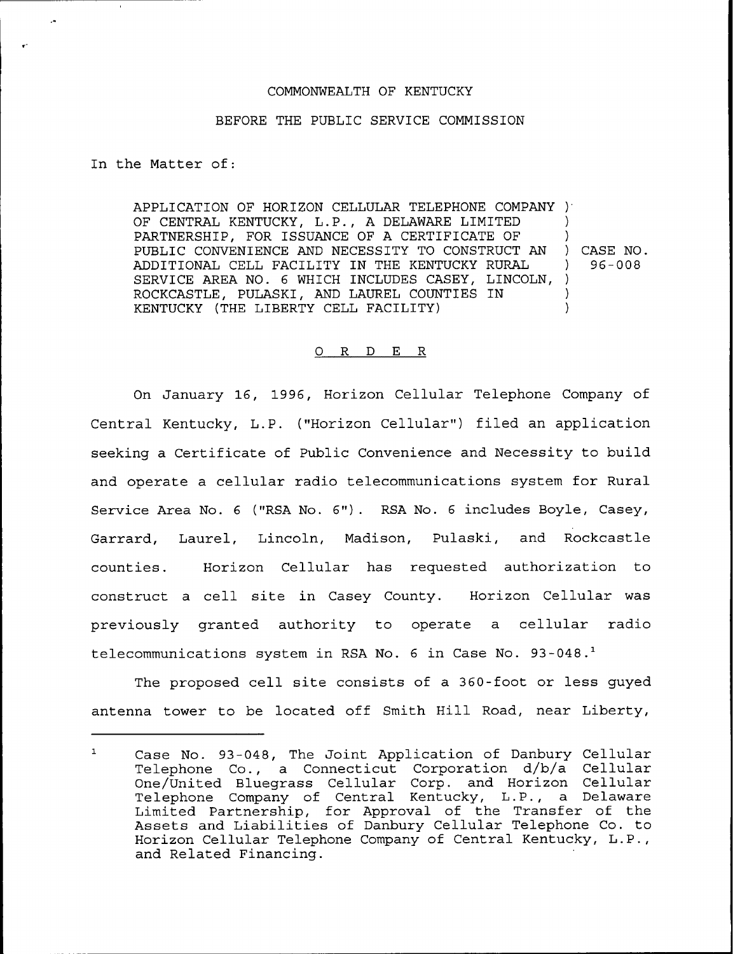## COMMONWEALTH OF KENTUCKY

## BEFORE THE PUBLIC SERVICE COMMISSION

In the Matter of:

-4

APPLICATION OF HORIZON CELLULAR TELEPHONE COMPANY ) OF CENTRAL KENTUCKY, L.P., <sup>A</sup> DELAWARE LIMITED PARTNERSHIP, FOR ISSUANCE OF A CERTIFICATE OF PUBLIC CONVENIENCE AND NECESSITY TO CONSTRUCT AN ADDITIONAL CELL FACILITY IN THE KENTUCKY RURAL SERVICE AREA NO. 6 WHICH INCLUDES CASEY, LINCOLN, ) ROCKCASTLE, PULASKI, AND LAUREL COUNTIES IN KENTUCKY (THE LIBERTY CELL FACILITY) ) ) )

) CASE NO. ) 96-008

## 0 R <sup>D</sup> E R

On January 16, 1996, Horizon Cellular Telephone Company of Central Kentucky, L.P. ("Horizon Cellular") filed an application seeking a Certificate of Public Convenience and Necessity to build and operate a cellular radio telecommunications system for Rural Service Area No. <sup>6</sup> ("RSA No. 6"). RSA No. <sup>6</sup> includes Boyle, Casey, Garrard, Laurel, Lincoln, Madison, Pulaski, and Rockcastle counties. Horizon Cellular has requested authorization to construct a cell site in Casey County. Horizon Cellular was previously granted authority to operate a cellular radio telecommunications system in RSA No. 6 in Case No. 93-048.<sup>1</sup>

The proposed cell site consists of a 360-foot or less guyed antenna tower to be located off Smith Hill Road, near Liberty,

 $\mathbf{1}$ Case No. 93-048, The Joint Application of Danbury Cellular Telephone Co., a Connecticut Corporation d/b/a Cellular One/United Bluegrass Cellular Corp. and Horizon Cellular One/Onited Bruegrass Cernuiar Corp. and norizon Cernuia<br>Telephone Company of Central Kentucky, L.P., a Delawar Limited Partnership, for Approval of the Transfer of the Assets and Liabilities of Danbury Cellular Telephone Co. to Horizon Cellular Telephone Company of Central Kentucky, L.P., and Related Financing.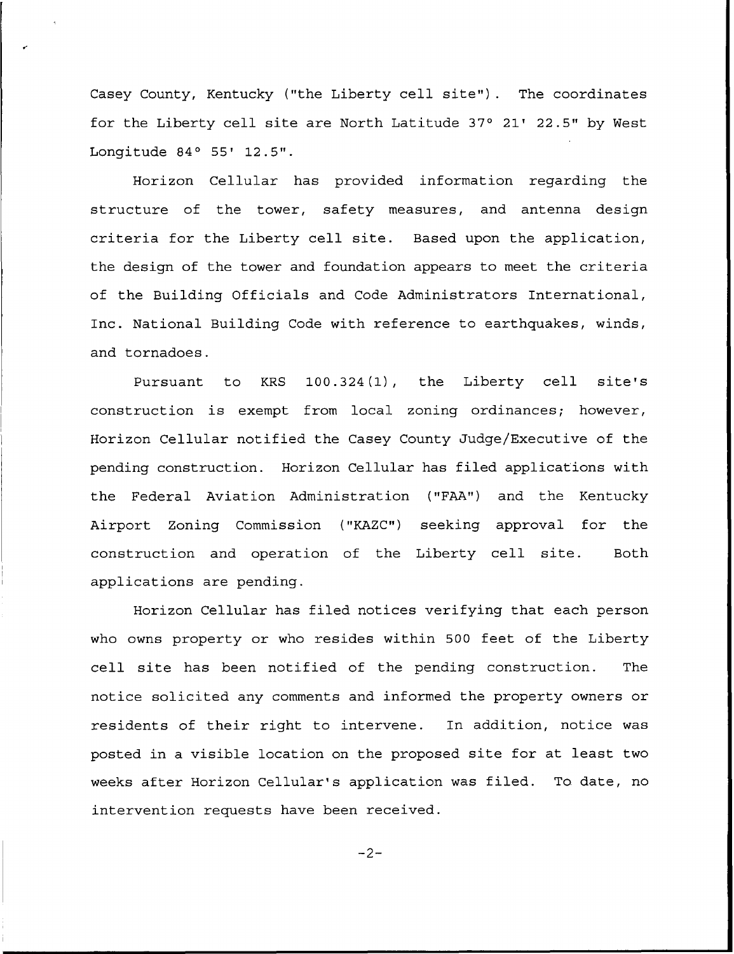Casey County, Kentucky ("the Liberty cell site"). The coordinates for the Liberty cell site are North Latitude  $37^\circ$  21' 22.5" by West Longitude  $84^\circ$  55' 12.5".

Horizon Cellular has provided information regarding the structure of the tower, safety measures, and antenna design criteria for the Liberty cell site. Based upon the application, the design of the tower and foundation appears to meet the criteria of the Building Officials and Code Administrators International, Inc. National Building Code with reference to earthquakes, winds, and tornadoes.

Pursuant to KRS 100.324(1), the Liberty cell site's construction is exempt from local zoning ordinances; however, Horizon Cellular notified the Casey County Judge/Executive of the pending construction. Horizon Cellular has filed applications with the Federal Aviation Administration ("FAA") and the Kentucky Airport Zoning Commission ("KAZC") seeking approval for the construction and operation of the Liberty cell site. Both applications are pending.

Horizon Cellular has filed notices verifying that each person who owns property or who resides within 500 feet of the Liberty cell site has been notified of the pending construction. The notice solicited any comments and informed the property owners or residents of their right to intervene. In addition, notice was posted in a visible location on the proposed site for at least two weeks after Horizon Cellular's application was filed. To. date, no intervention requests have been received.

 $-2-$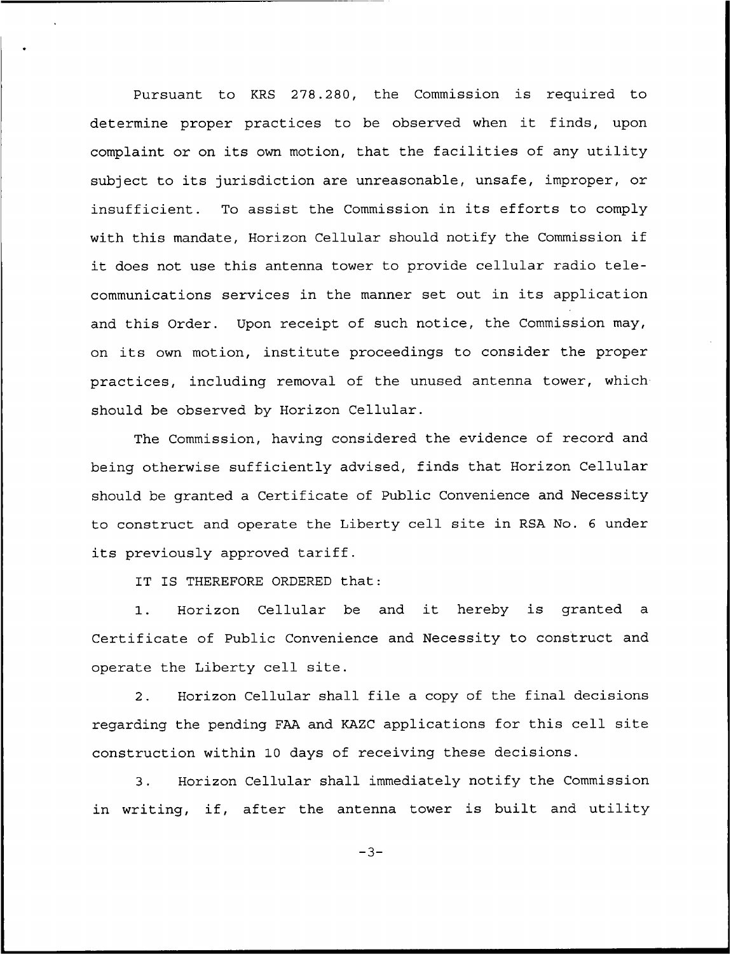Pursuant to KRS 278.280, the Commission is required to determine proper practices to be observed when it finds, upon complaint or on its own motion, that the facilities of any utility subject to its jurisdiction are unreasonable, unsafe, improper, or insufficient. To assist the Commission in its efforts to comply with this mandate, Horizon Cellular should notify the Commission if it does not use this antenna tower to provide cellular radio telecommunications services in the manner set out in its application and this Order. Upon receipt of such notice, the Commission may, on its own motion, institute proceedings to consider the proper practices, including removal of the unused antenna tower, whichshould be observed by Horizon Cellular.

The Commission, having considered the evidence of record and being otherwise sufficiently advised, finds that Horizon Cellular should be granted a Certificate of Public Convenience and Necessity to construct and operate the Liberty cell site in RSA No. <sup>6</sup> under its previously approved tariff.

IT IS THEREFORE ORDERED that:

1. Horizon Cellular be and it hereby is granted <sup>a</sup> Certificate of Public Convenience and Necessity to construct and operate the Liberty cell site.

2. Horizon Cellular shall file a copy of the final decisions regarding the pending FAA and KAZC applications for this cell site construction within 10 days of receiving these decisions.

3. Horizon Cellular shall immediately notify the Commission in writing, if, after the antenna tower is built and utility

 $-3-$